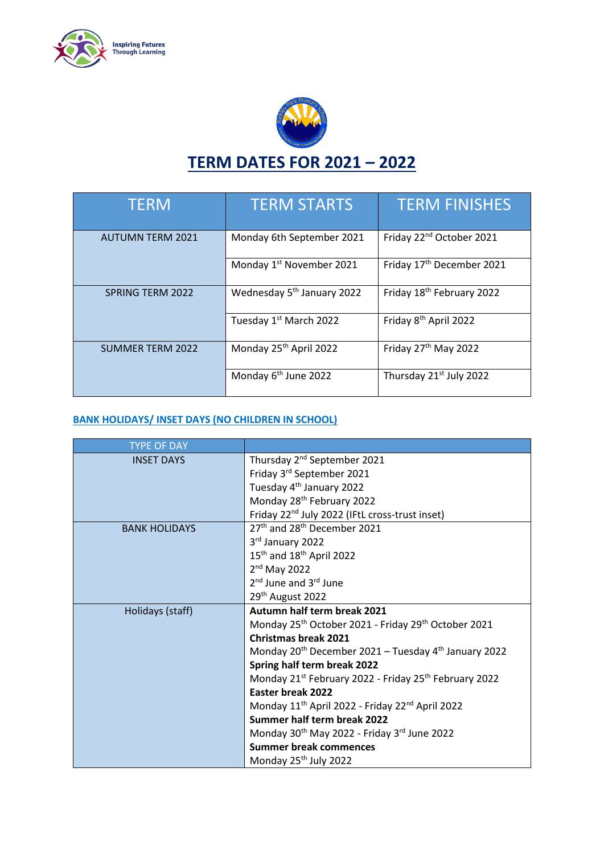



| <b>TERM</b>             | <b>TERM STARTS</b>                     | <b>TERM FINISHES</b>                  |
|-------------------------|----------------------------------------|---------------------------------------|
| <b>AUTUMN TERM 2021</b> | Monday 6th September 2021              | Friday 22 <sup>nd</sup> October 2021  |
|                         | Monday 1 <sup>st</sup> November 2021   | Friday 17 <sup>th</sup> December 2021 |
| <b>SPRING TERM 2022</b> | Wednesday 5 <sup>th</sup> January 2022 | Friday 18 <sup>th</sup> February 2022 |
|                         | Tuesday 1st March 2022                 | Friday 8 <sup>th</sup> April 2022     |
| <b>SUMMER TERM 2022</b> | Monday 25 <sup>th</sup> April 2022     | Friday 27 <sup>th</sup> May 2022      |
|                         | Monday 6 <sup>th</sup> June 2022       | Thursday 21 <sup>st</sup> July 2022   |

## **BANK HOLIDAYS/ INSET DAYS (NO CHILDREN IN SCHOOL)**

| <b>TYPE OF DAY</b>   |                                                                              |  |
|----------------------|------------------------------------------------------------------------------|--|
| <b>INSET DAYS</b>    | Thursday 2 <sup>nd</sup> September 2021                                      |  |
|                      | Friday 3rd September 2021                                                    |  |
|                      | Tuesday 4 <sup>th</sup> January 2022                                         |  |
|                      | Monday 28 <sup>th</sup> February 2022                                        |  |
|                      | Friday 22 <sup>nd</sup> July 2022 (IFtL cross-trust inset)                   |  |
| <b>BANK HOLIDAYS</b> | 27 <sup>th</sup> and 28 <sup>th</sup> December 2021                          |  |
|                      | 3rd January 2022                                                             |  |
|                      | 15 <sup>th</sup> and 18 <sup>th</sup> April 2022                             |  |
|                      | $2nd$ May 2022                                                               |  |
|                      | 2 <sup>nd</sup> June and 3 <sup>rd</sup> June                                |  |
|                      | 29 <sup>th</sup> August 2022                                                 |  |
| Holidays (staff)     | Autumn half term break 2021                                                  |  |
|                      | Monday 25 <sup>th</sup> October 2021 - Friday 29 <sup>th</sup> October 2021  |  |
|                      | <b>Christmas break 2021</b>                                                  |  |
|                      | Monday 20 <sup>th</sup> December 2021 - Tuesday 4 <sup>th</sup> January 2022 |  |
|                      | Spring half term break 2022                                                  |  |
|                      | Monday 21st February 2022 - Friday 25th February 2022                        |  |
|                      | Easter break 2022                                                            |  |
|                      | Monday 11 <sup>th</sup> April 2022 - Friday 22 <sup>nd</sup> April 2022      |  |
|                      | Summer half term break 2022                                                  |  |
|                      | Monday 30 <sup>th</sup> May 2022 - Friday 3 <sup>rd</sup> June 2022          |  |
|                      | <b>Summer break commences</b>                                                |  |
|                      | Monday 25 <sup>th</sup> July 2022                                            |  |